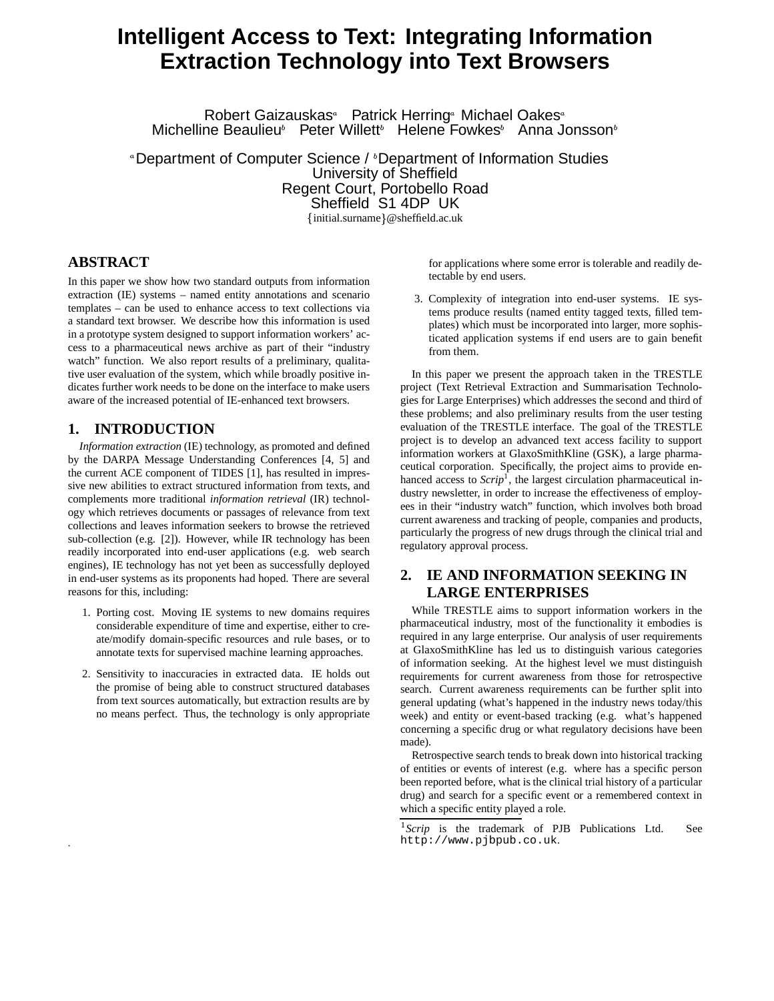# **Intelligent Access to Text: Integrating Information Extraction Technology into Text Browsers**

Robert Gaizauskas<sup>。</sup> Patrick Herring<sup>。</sup>Michael Oakes<sup>。</sup> Michelline Beaulieu<sup>,</sup> Peter Willett<sup>,</sup> Helene Fowkes<sup>,</sup> Anna Jonsson<sup>,</sup>

 Department of Computer Science / Department of Information Studies University of Sheffield Regent Court, Portobello Road Sheffield S1 4DP UK

- initial.surname @sheffield.ac.uk

# **ABSTRACT**

.

In this paper we show how two standard outputs from information extraction (IE) systems – named entity annotations and scenario templates – can be used to enhance access to text collections via a standard text browser. We describe how this information is used in a prototype system designed to support information workers' access to a pharmaceutical news archive as part of their "industry watch" function. We also report results of a preliminary, qualitative user evaluation of the system, which while broadly positive indicates further work needs to be done on the interface to make users aware of the increased potential of IE-enhanced text browsers.

## **1. INTRODUCTION**

*Information extraction* (IE) technology, as promoted and defined by the DARPA Message Understanding Conferences [4, 5] and the current ACE component of TIDES [1], has resulted in impressive new abilities to extract structured information from texts, and complements more traditional *information retrieval* (IR) technology which retrieves documents or passages of relevance from text collections and leaves information seekers to browse the retrieved sub-collection (e.g. [2]). However, while IR technology has been readily incorporated into end-user applications (e.g. web search engines), IE technology has not yet been as successfully deployed in end-user systems as its proponents had hoped. There are several reasons for this, including:

- 1. Porting cost. Moving IE systems to new domains requires considerable expenditure of time and expertise, either to create/modify domain-specific resources and rule bases, or to annotate texts for supervised machine learning approaches.
- 2. Sensitivity to inaccuracies in extracted data. IE holds out the promise of being able to construct structured databases from text sources automatically, but extraction results are by no means perfect. Thus, the technology is only appropriate

for applications where some error is tolerable and readily detectable by end users.

3. Complexity of integration into end-user systems. IE systems produce results (named entity tagged texts, filled templates) which must be incorporated into larger, more sophisticated application systems if end users are to gain benefit from them.

In this paper we present the approach taken in the TRESTLE project (Text Retrieval Extraction and Summarisation Technologies for Large Enterprises) which addresses the second and third of these problems; and also preliminary results from the user testing evaluation of the TRESTLE interface. The goal of the TRESTLE project is to develop an advanced text access facility to support information workers at GlaxoSmithKline (GSK), a large pharmaceutical corporation. Specifically, the project aims to provide enhanced access to *Scrip*<sup>1</sup>, the largest circulation pharmaceutical industry newsletter, in order to increase the effectiveness of employees in their "industry watch" function, which involves both broad current awareness and tracking of people, companies and products, particularly the progress of new drugs through the clinical trial and regulatory approval process.

## **2. IE AND INFORMATION SEEKING IN LARGE ENTERPRISES**

While TRESTLE aims to support information workers in the pharmaceutical industry, most of the functionality it embodies is required in any large enterprise. Our analysis of user requirements at GlaxoSmithKline has led us to distinguish various categories of information seeking. At the highest level we must distinguish requirements for current awareness from those for retrospective search. Current awareness requirements can be further split into general updating (what's happened in the industry news today/this week) and entity or event-based tracking (e.g. what's happened concerning a specific drug or what regulatory decisions have been made).

Retrospective search tends to break down into historical tracking of entities or events of interest (e.g. where has a specific person been reported before, what is the clinical trial history of a particular drug) and search for a specific event or a remembered context in which a specific entity played a role.

<sup>&</sup>lt;sup>1</sup>Scrip is the trademark of PJB Publications Ltd. See http://www.pjbpub.co.uk.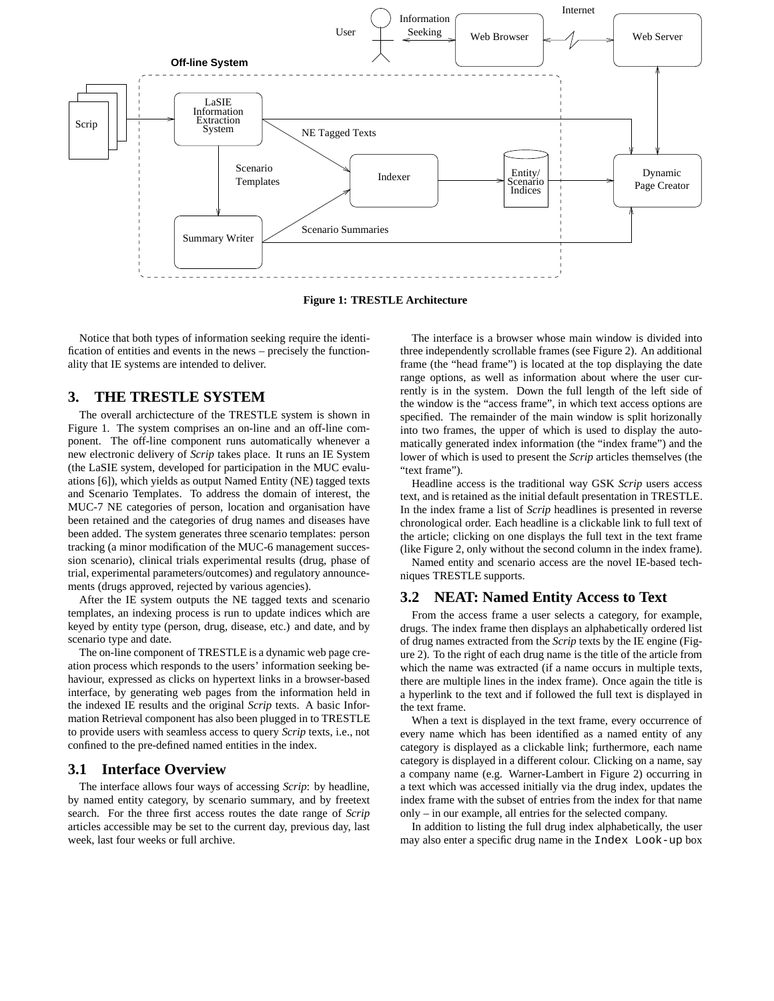

**Figure 1: TRESTLE Architecture**

Notice that both types of information seeking require the identification of entities and events in the news – precisely the functionality that IE systems are intended to deliver.

## **3. THE TRESTLE SYSTEM**

The overall archictecture of the TRESTLE system is shown in Figure 1. The system comprises an on-line and an off-line component. The off-line component runs automatically whenever a new electronic delivery of *Scrip* takes place. It runs an IE System (the LaSIE system, developed for participation in the MUC evaluations [6]), which yields as output Named Entity (NE) tagged texts and Scenario Templates. To address the domain of interest, the MUC-7 NE categories of person, location and organisation have been retained and the categories of drug names and diseases have been added. The system generates three scenario templates: person tracking (a minor modification of the MUC-6 management succession scenario), clinical trials experimental results (drug, phase of trial, experimental parameters/outcomes) and regulatory announcements (drugs approved, rejected by various agencies).

After the IE system outputs the NE tagged texts and scenario templates, an indexing process is run to update indices which are keyed by entity type (person, drug, disease, etc.) and date, and by scenario type and date.

The on-line component of TRESTLE is a dynamic web page creation process which responds to the users' information seeking behaviour, expressed as clicks on hypertext links in a browser-based interface, by generating web pages from the information held in the indexed IE results and the original *Scrip* texts. A basic Information Retrieval component has also been plugged in to TRESTLE to provide users with seamless access to query *Scrip* texts, i.e., not confined to the pre-defined named entities in the index.

## **3.1 Interface Overview**

The interface allows four ways of accessing *Scrip*: by headline, by named entity category, by scenario summary, and by freetext search. For the three first access routes the date range of *Scrip* articles accessible may be set to the current day, previous day, last week, last four weeks or full archive.

The interface is a browser whose main window is divided into three independently scrollable frames (see Figure 2). An additional frame (the "head frame") is located at the top displaying the date range options, as well as information about where the user currently is in the system. Down the full length of the left side of the window is the "access frame", in which text access options are specified. The remainder of the main window is split horizonally into two frames, the upper of which is used to display the automatically generated index information (the "index frame") and the lower of which is used to present the *Scrip* articles themselves (the "text frame").

Headline access is the traditional way GSK *Scrip* users access text, and is retained as the initial default presentation in TRESTLE. In the index frame a list of *Scrip* headlines is presented in reverse chronological order. Each headline is a clickable link to full text of the article; clicking on one displays the full text in the text frame (like Figure 2, only without the second column in the index frame).

Named entity and scenario access are the novel IE-based techniques TRESTLE supports.

## **3.2 NEAT: Named Entity Access to Text**

From the access frame a user selects a category, for example, drugs. The index frame then displays an alphabetically ordered list of drug names extracted from the *Scrip* texts by the IE engine (Figure 2). To the right of each drug name is the title of the article from which the name was extracted (if a name occurs in multiple texts, there are multiple lines in the index frame). Once again the title is a hyperlink to the text and if followed the full text is displayed in the text frame.

When a text is displayed in the text frame, every occurrence of every name which has been identified as a named entity of any category is displayed as a clickable link; furthermore, each name category is displayed in a different colour. Clicking on a name, say a company name (e.g. Warner-Lambert in Figure 2) occurring in a text which was accessed initially via the drug index, updates the index frame with the subset of entries from the index for that name only – in our example, all entries for the selected company.

In addition to listing the full drug index alphabetically, the user may also enter a specific drug name in the Index Look-up box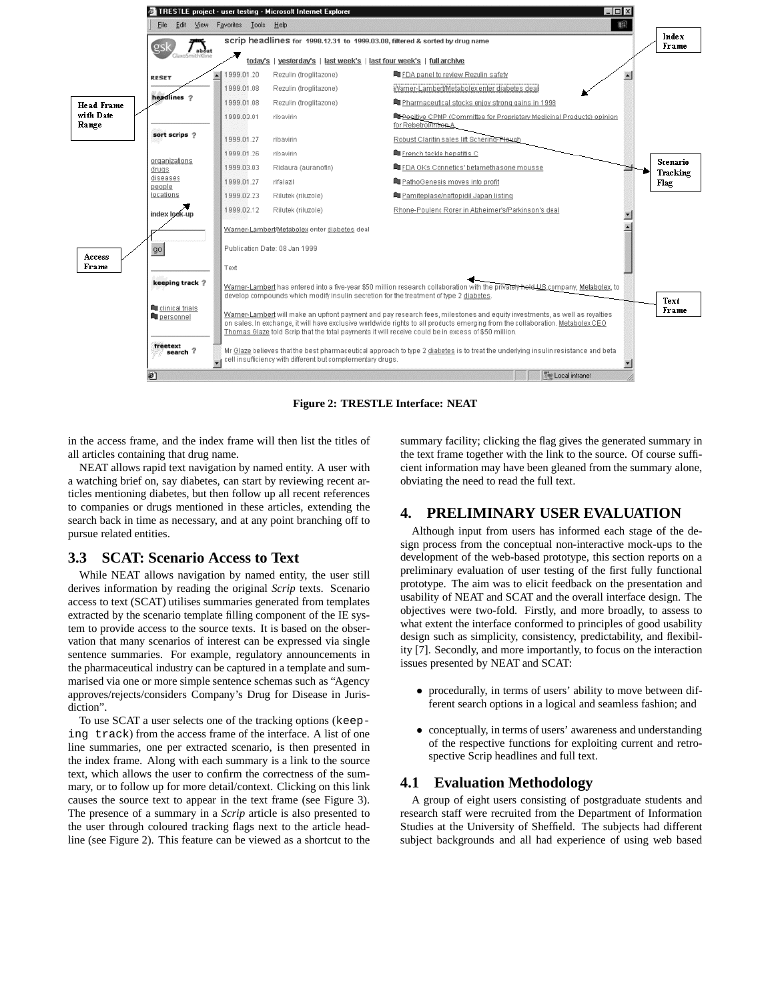

**Figure 2: TRESTLE Interface: NEAT**

in the access frame, and the index frame will then list the titles of all articles containing that drug name.

NEAT allows rapid text navigation by named entity. A user with a watching brief on, say diabetes, can start by reviewing recent articles mentioning diabetes, but then follow up all recent references to companies or drugs mentioned in these articles, extending the search back in time as necessary, and at any point branching off to pursue related entities.

## **3.3 SCAT: Scenario Access to Text**

While NEAT allows navigation by named entity, the user still derives information by reading the original *Scrip* texts. Scenario access to text (SCAT) utilises summaries generated from templates extracted by the scenario template filling component of the IE system to provide access to the source texts. It is based on the observation that many scenarios of interest can be expressed via single sentence summaries. For example, regulatory announcements in the pharmaceutical industry can be captured in a template and summarised via one or more simple sentence schemas such as "Agency approves/rejects/considers Company's Drug for Disease in Jurisdiction".

To use SCAT a user selects one of the tracking options (keeping track) from the access frame of the interface. A list of one line summaries, one per extracted scenario, is then presented in the index frame. Along with each summary is a link to the source text, which allows the user to confirm the correctness of the summary, or to follow up for more detail/context. Clicking on this link causes the source text to appear in the text frame (see Figure 3). The presence of a summary in a *Scrip* article is also presented to the user through coloured tracking flags next to the article headline (see Figure 2). This feature can be viewed as a shortcut to the

summary facility; clicking the flag gives the generated summary in the text frame together with the link to the source. Of course sufficient information may have been gleaned from the summary alone, obviating the need to read the full text.

# **4. PRELIMINARY USER EVALUATION**

Although input from users has informed each stage of the design process from the conceptual non-interactive mock-ups to the development of the web-based prototype, this section reports on a preliminary evaluation of user testing of the first fully functional prototype. The aim was to elicit feedback on the presentation and usability of NEAT and SCAT and the overall interface design. The objectives were two-fold. Firstly, and more broadly, to assess to what extent the interface conformed to principles of good usability design such as simplicity, consistency, predictability, and flexibility [7]. Secondly, and more importantly, to focus on the interaction issues presented by NEAT and SCAT:

- procedurally, in terms of users' ability to move between different search options in a logical and seamless fashion; and
- conceptually, in terms of users' awareness and understanding of the respective functions for exploiting current and retrospective Scrip headlines and full text.

## **4.1 Evaluation Methodology**

A group of eight users consisting of postgraduate students and research staff were recruited from the Department of Information Studies at the University of Sheffield. The subjects had different subject backgrounds and all had experience of using web based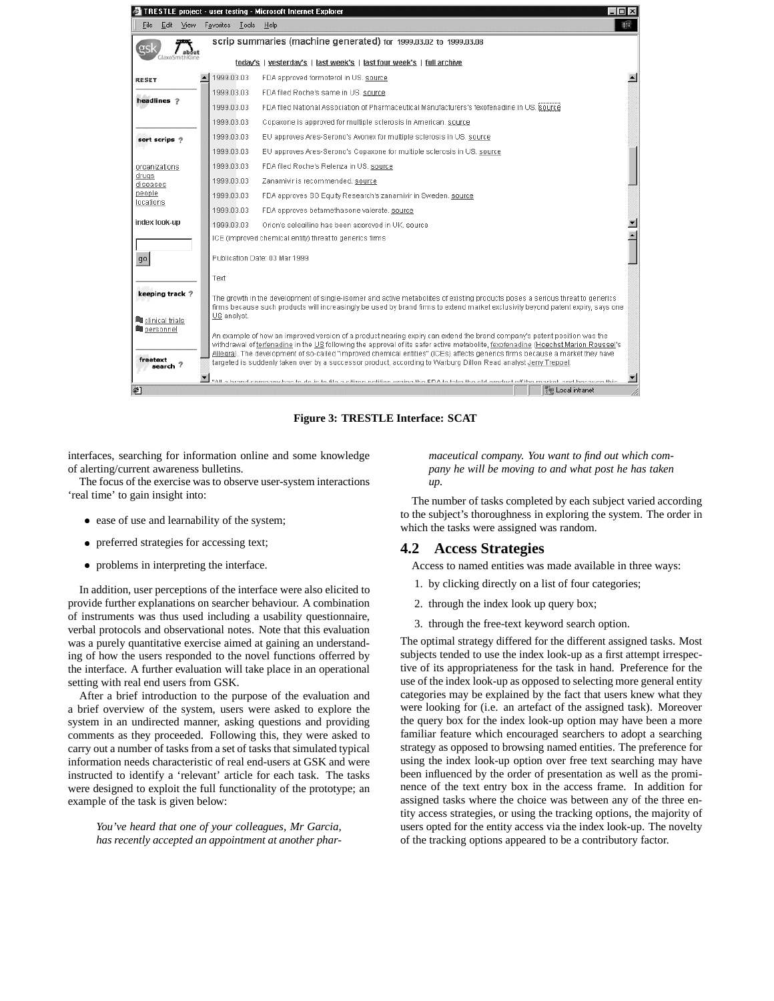

**Figure 3: TRESTLE Interface: SCAT**

interfaces, searching for information online and some knowledge of alerting/current awareness bulletins.

The focus of the exercise was to observe user-system interactions 'real time' to gain insight into:

- ease of use and learnability of the system;
- preferred strategies for accessing text;
- problems in interpreting the interface.

In addition, user perceptions of the interface were also elicited to provide further explanations on searcher behaviour. A combination of instruments was thus used including a usability questionnaire, verbal protocols and observational notes. Note that this evaluation was a purely quantitative exercise aimed at gaining an understanding of how the users responded to the novel functions offerred by the interface. A further evaluation will take place in an operational setting with real end users from GSK.

After a brief introduction to the purpose of the evaluation and a brief overview of the system, users were asked to explore the system in an undirected manner, asking questions and providing comments as they proceeded. Following this, they were asked to carry out a number of tasks from a set of tasks that simulated typical information needs characteristic of real end-users at GSK and were instructed to identify a 'relevant' article for each task. The tasks were designed to exploit the full functionality of the prototype; an example of the task is given below:

*You've heard that one of your colleagues, Mr Garcia, has recently accepted an appointment at another phar-*

*maceutical company. You want to find out which company he will be moving to and what post he has taken up.*

The number of tasks completed by each subject varied according to the subject's thoroughness in exploring the system. The order in which the tasks were assigned was random.

## **4.2 Access Strategies**

Access to named entities was made available in three ways:

- 1. by clicking directly on a list of four categories;
- 2. through the index look up query box;
- 3. through the free-text keyword search option.

The optimal strategy differed for the different assigned tasks. Most subjects tended to use the index look-up as a first attempt irrespective of its appropriateness for the task in hand. Preference for the use of the index look-up as opposed to selecting more general entity categories may be explained by the fact that users knew what they were looking for (i.e. an artefact of the assigned task). Moreover the query box for the index look-up option may have been a more familiar feature which encouraged searchers to adopt a searching strategy as opposed to browsing named entities. The preference for using the index look-up option over free text searching may have been influenced by the order of presentation as well as the prominence of the text entry box in the access frame. In addition for assigned tasks where the choice was between any of the three entity access strategies, or using the tracking options, the majority of users opted for the entity access via the index look-up. The novelty of the tracking options appeared to be a contributory factor.